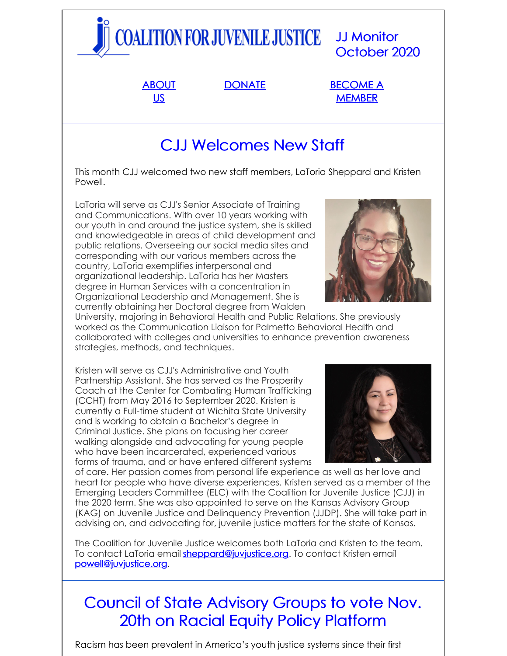# COALITION FOR JUVENILE JUSTICE JJ Monitor October 2020

[ABOUT](http://www.juvjustice.org/about-us) US

[DONATE](http://www.juvjustice.org/about-us/donate) [BECOME](http://www.juvjustice.org/about-us/members) A **MEMBER** 

# CJJ Welcomes New Staff

This month CJJ welcomed two new staff members, LaToria Sheppard and Kristen Powell.

LaToria will serve as CJJ's Senior Associate of Training and Communications. With over 10 years working with our youth in and around the justice system, she is skilled and knowledgeable in areas of child development and public relations. Overseeing our social media sites and corresponding with our various members across the country, LaToria exemplifies interpersonal and organizational leadership. LaToria has her Masters degree in Human Services with a concentration in Organizational Leadership and Management. She is currently obtaining her Doctoral degree from Walden

University, majoring in Behavioral Health and Public Relations. She previously worked as the Communication Liaison for Palmetto Behavioral Health and collaborated with colleges and universities to enhance prevention awareness strategies, methods, and techniques.

Kristen will serve as CJJ's Administrative and Youth Partnership Assistant. She has served as the Prosperity Coach at the Center for Combating Human Trafficking (CCHT) from May 2016 to September 2020. Kristen is currently a Full-time student at Wichita State University and is working to obtain a Bachelor's degree in Criminal Justice. She plans on focusing her career walking alongside and advocating for young people who have been incarcerated, experienced various forms of trauma, and or have entered different systems



of care. Her passion comes from personal life experience as well as her love and heart for people who have diverse experiences. Kristen served as a member of the Emerging Leaders Committee (ELC) with the Coalition for Juvenile Justice (CJJ) in the 2020 term. She was also appointed to serve on the Kansas Advisory Group (KAG) on Juvenile Justice and Delinquency Prevention (JJDP). She will take part in advising on, and advocating for, juvenile justice matters for the state of Kansas.

The Coalition for Juvenile Justice welcomes both LaToria and Kristen to the team. To contact LaToria email [sheppard@juvjustice.org](mailto:sheppard@juvjustice.org). To contact Kristen email [powell@juvjustice.org](mailto:powell@juvjustice.org).

## Council of State Advisory Groups to vote Nov. 20th on Racial Equity Policy Platform

Racism has been prevalent in America's youth justice systems since their first

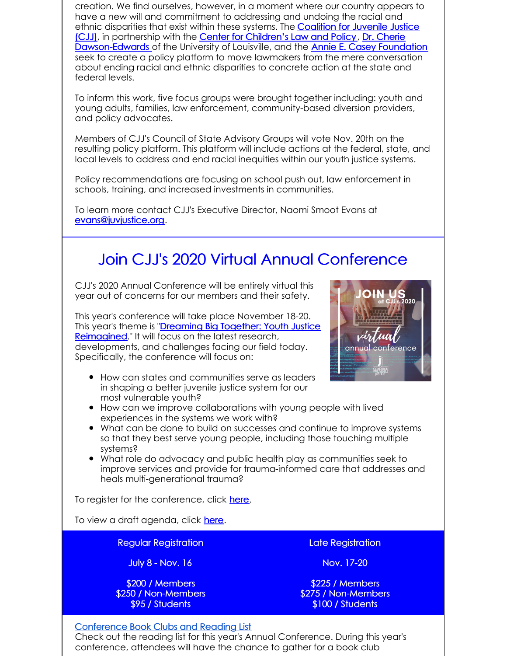creation. We find ourselves, however, in a moment where our country appears to have a new will and commitment to addressing and undoing the racial and ethnic disparities that exist within these systems. The **Coalition for Juvenile Justice** (CJJ), in [partnership](http://juvjustice.org) with the Center for [Children's](https://www.cclp.org/) Law and Policy, Dr. Cherie [Dawson-Edwards](http://louisville.edu/justice/about-us/faculty/cherie-dawson-edwards-vita) of the University of Louisville, and the Annie E. Casey [Foundation](https://www.aecf.org/) seek to create a policy platform to move lawmakers from the mere conversation about ending racial and ethnic disparities to concrete action at the state and federal levels.

To inform this work, five focus groups were brought together including: youth and young adults, families, law enforcement, community-based diversion providers, and policy advocates.

Members of CJJ's Council of State Advisory Groups will vote Nov. 20th on the resulting policy platform. This platform will include actions at the federal, state, and local levels to address and end racial inequities within our youth justice systems.

Policy recommendations are focusing on school push out, law enforcement in schools, training, and increased investments in communities.

To learn more contact CJJ's Executive Director, Naomi Smoot Evans at [evans@juvjustice.org](mailto:evans@juvjustice.org).

### Join CJJ's 2020 Virtual Annual Conference

CJJ's 2020 Annual Conference will be entirely virtual this year out of concerns for our members and their safety.

This year's conference will take place November 18-20. This year's theme is "Dreaming Big Together: Youth Justice [Reimagined."](http://www.juvjustice.org/events/conferences/2020-annual-conference-weve-gone-virtual) It will focus on the latest research, developments, and challenges facing our field today. Specifically, the conference will focus on:



- How can states and communities serve as leaders in shaping a better juvenile justice system for our most vulnerable youth?
- How can we improve collaborations with young people with lived experiences in the systems we work with?
- What can be done to build on successes and continue to improve systems so that they best serve young people, including those touching multiple systems?
- What role do advocacy and public health play as communities seek to improve services and provide for trauma-informed care that addresses and heals multi-generational trauma?

To register for the conference, click [here](http://www.juvjustice.org/civicrm/event/register?reset=1&id=50&cid=0).

To view a draft agenda, click [here](https://www.juvjustice.org/sites/default/files/ckfinder/files/Conference Agenda 10_8.pdf).

Regular Registration

July 8 - Nov. 16

\$200 / Members \$250 / Non-Members \$95 / Students

Late Registration

Nov. 17-20

\$225 / Members \$275 / Non-Members \$100 / Students

#### Conference Book Clubs and Reading List

Check out the reading list for this year's Annual Conference. During this year's conference, attendees will have the chance to gather for a book club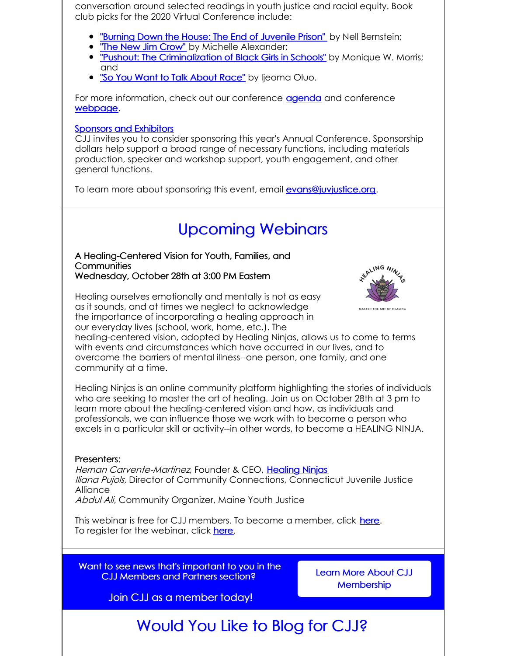conversation around selected readings in youth justice and racial equity. Book club picks for the 2020 Virtual Conference include:

- **"Burning Down the House: The End of [Juvenile](https://www.google.com/books/edition/Burning_Down_the_House/LMLaAgAAQBAJ?hl=en&gbpv=1&printsec=frontcover) Prison"** by Nell Bernstein;
- . The New Jim [Crow"](https://www.google.com/books/edition/The_New_Jim_Crow/_SKbzXqmawoC?hl=en&gbpv=1&printsec=frontcover) by Michelle Alexander;
- **.** "Pushout: The [Criminalization](https://www.google.com/books/edition/Pushout/uhjfCgAAQBAJ?hl=en&gbpv=1&printsec=frontcover) of Black Girls in Schools" by Monique W. Morris; and
- . "So You Want to Talk [About](https://www.google.com/books/edition/So_You_Want_to_Talk_About_Race/c0eRDwAAQBAJ?hl=en&gbpv=1&printsec=frontcover) Race" by Ijeoma Oluo.

For more information, check out our conference [agenda](https://juvjustice.org/sites/default/files/ckfinder/files/Conference Agenda 10_8.pdf) and conference [webpage](https://juvjustice.org/events/conferences/2020-annual-conference-weve-gone-virtual).

#### Sponsors and [Exhibitors](http://survey.constantcontact.com/survey/a07egvtvqzmk5wo3xx1/start)

CJJ invites you to consider sponsoring this year's Annual Conference. Sponsorship dollars help support a broad range of necessary functions, including materials production, speaker and workshop support, youth engagement, and other general functions.

To learn more about sponsoring this event, email [evans@juvjustice.org](mailto:evans@juvjustice.org).

### Upcoming Webinars

#### A Healing-Centered Vision for Youth, Families, and **Communities** Wednesday, October 28th at 3:00 PM Eastern

Healing ourselves emotionally and mentally is not as easy as it sounds, and at times we neglect to acknowledge the importance of incorporating a healing approach in



our everyday lives (school, work, home, etc.). The healing-centered vision, adopted by Healing Ninjas, allows us to come to terms with events and circumstances which have occurred in our lives, and to overcome the barriers of mental illness--one person, one family, and one community at a time.

Healing Ninjas is an online community platform highlighting the stories of individuals who are seeking to master the art of healing. Join us on October 28th at 3 pm to learn more about the healing-centered vision and how, as individuals and professionals, we can influence those we work with to become a person who excels in a particular skill or activity--in other words, to become a HEALING NINJA.

#### Presenters:

Hernan Carvente-Martinez, Founder & CEO, [Healing](https://www.healingninjas.org/) Ninjas Iliana Pujols, Director of Community Connections, Connecticut Juvenile Justice **Alliance** Abdul Ali, Community Organizer, Maine Youth Justice

This webinar is free for CJJ members. To become a member, click [here](http://www.juvjustice.org/civicrm/contribute/transact?reset=1&id=2). To register for the webinar, click [here](https://register.gotowebinar.com/register/39932473253182478).

Want to see news that's important to you in the CJJ Members and Partners section?

Learn More About CJJ **[Membership](http://juvjustice.org/about-us/members)** 

Join CJJ as a member today!

### Would You Like to Blog for CJJ?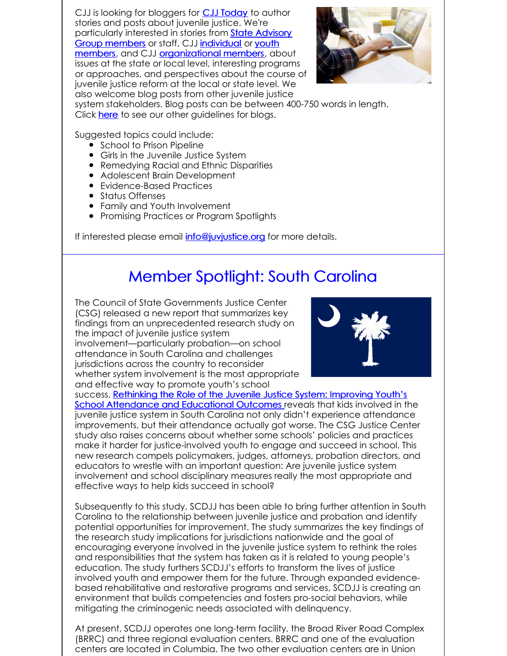CJJ is looking for bloggers for **CJJ [Today](http://www.juvjustice.org/blog)** to author stories and posts about juvenile justice. We're [particularly](http://www.juvjustice.org/about-us/state-advisory-group-members) interested in stories from State Advisory Group members or staff, CJJ [individual](http://juvjustice.org/about-us/members/individual-memberships) or youth members, and CJJ [organizational](http://juvjustice.org/youth-members) members, about issues at the state or local level, interesting programs or approaches, and perspectives about the course of juvenile justice reform at the local or state level. We also welcome blog posts from other juvenile justice



system stakeholders. Blog posts can be between 400-750 words in length. Click [here](http://files.constantcontact.com/31e4a892301/ae2fa24f-a0c7-4002-a04b-2d9a65ad104a.pdf) to see our other quidelines for blogs.

Suggested topics could include:

- **•** School to Prison Pipeline
- Girls in the Juvenile Justice System
- Remedying Racial and Ethnic Disparities
- Adolescent Brain Development
- Evidence-Based Practices
- **•** Status Offenses
- Family and Youth Involvement
- Promising Practices or Program Spotlights

If interested please email *[info@juvjustice.org](mailto:info@juvjustice.org)* for more details.

### Member Spotlight: South Carolina

The Council of State Governments Justice Center (CSG) released a new report that summarizes key findings from an unprecedented research study on the impact of juvenile justice system involvement—particularly probation—on school attendance in South Carolina and challenges jurisdictions across the country to reconsider whether system involvement is the most appropriate and effective way to promote youth's school



success. Rethinking the Role of the Juvenile Justice System: Improving Youth's School [Attendance](https://csgjusticecenter.org/publications/rethinking-the-role-of-the-juvenile-justice-system-improving-youths-school-attendance-and-educational-outcomes/) and Educational Outcomes reveals that kids involved in the juvenile justice system in South Carolina not only didn't experience attendance improvements, but their attendance actually got worse. The CSG Justice Center study also raises concerns about whether some schools' policies and practices make it harder for justice-involved youth to engage and succeed in school. This new research compels policymakers, judges, attorneys, probation directors, and educators to wrestle with an important question: Are juvenile justice system involvement and school disciplinary measures really the most appropriate and effective ways to help kids succeed in school?

Subsequently to this study, SCDJJ has been able to bring further attention in South Carolina to the relationship between juvenile justice and probation and identify potential opportunities for improvement. The study summarizes the key findings of the research study implications for jurisdictions nationwide and the goal of encouraging everyone involved in the juvenile justice system to rethink the roles and responsibilities that the system has taken as it is related to young people's education. The study furthers SCDJJ's efforts to transform the lives of justice involved youth and empower them for the future. Through expanded evidencebased rehabilitative and restorative programs and services, SCDJJ is creating an environment that builds competencies and fosters pro-social behaviors, while mitigating the criminogenic needs associated with delinquency.

At present, SCDJJ operates one long-term facility, the Broad River Road Complex (BRRC) and three regional evaluation centers. BRRC and one of the evaluation centers are located in Columbia. The two other evaluation centers are in Union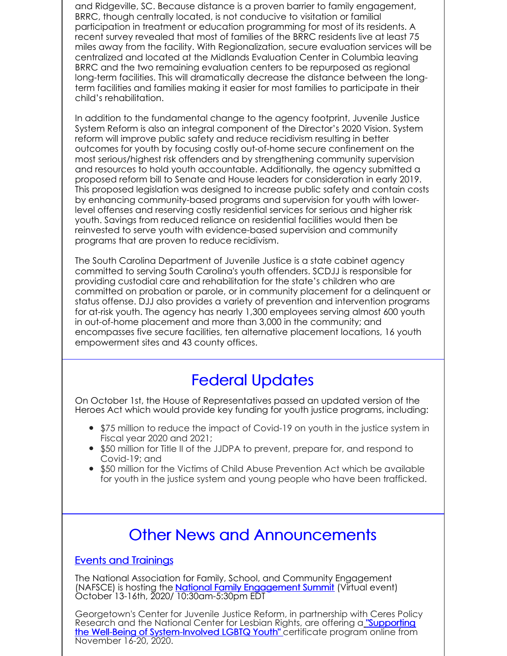and Ridgeville, SC. Because distance is a proven barrier to family engagement, BRRC, though centrally located, is not conducive to visitation or familial participation in treatment or education programming for most of its residents. A recent survey revealed that most of families of the BRRC residents live at least 75 miles away from the facility. With Regionalization, secure evaluation services will be centralized and located at the Midlands Evaluation Center in Columbia leaving BRRC and the two remaining evaluation centers to be repurposed as regional long-term facilities. This will dramatically decrease the distance between the longterm facilities and families making it easier for most families to participate in their child's rehabilitation.

In addition to the fundamental change to the agency footprint, Juvenile Justice System Reform is also an integral component of the Director's 2020 Vision. System reform will improve public safety and reduce recidivism resulting in better outcomes for youth by focusing costly out-of-home secure confinement on the most serious/highest risk offenders and by strengthening community supervision and resources to hold youth accountable. Additionally, the agency submitted a proposed reform bill to Senate and House leaders for consideration in early 2019. This proposed legislation was designed to increase public safety and contain costs by enhancing community-based programs and supervision for youth with lowerlevel offenses and reserving costly residential services for serious and higher risk youth. Savings from reduced reliance on residential facilities would then be reinvested to serve youth with evidence-based supervision and community programs that are proven to reduce recidivism.

The South Carolina Department of Juvenile Justice is a state cabinet agency committed to serving South Carolina's youth offenders. SCDJJ is responsible for providing custodial care and rehabilitation for the state's children who are committed on probation or parole, or in community placement for a delinquent or status offense. DJJ also provides a variety of prevention and intervention programs for at-risk youth. The agency has nearly 1,300 employees serving almost 600 youth in out-of-home placement and more than 3,000 in the community; and encompasses five secure facilities, ten alternative placement locations, 16 youth empowerment sites and 43 county offices.

### Federal Updates

On October 1st, the House of Representatives passed an updated version of the Heroes Act which would provide key funding for youth justice programs, including:

- \$75 million to reduce the impact of Covid-19 on youth in the justice system in Fiscal year 2020 and 2021;
- \$50 million for Title II of the JJDPA to prevent, prepare for, and respond to Covid-19; and
- \$50 million for the Victims of Child Abuse Prevention Act which be available for youth in the justice system and young people who have been trafficked.

### Other News and Announcements

#### Events and Trainings

The National Association for Family, School, and Community Engagement (NAFSCE) is hosting the **National Family [Engagement](https://nfesummit.com/) Summit** (Virtual event) October 13-16th, 2020/ 10:30am-5:30pm EDT

Georgetown's Center for Juvenile Justice Reform, in partnership wit[h](https://georgetown.app.box.com/s/q905tl0ton33ppuoehjmghvpp1juit3d) Ceres Policy Research and the National Center for Lesbian Rights, are offering a **"Supporting** the Well-Being of [System-Involved](https://georgetown.app.box.com/s/q905tl0ton33ppuoehjmghvpp1juit3d) LGBTQ Youth" certificate program online from November 16-20, 2020.